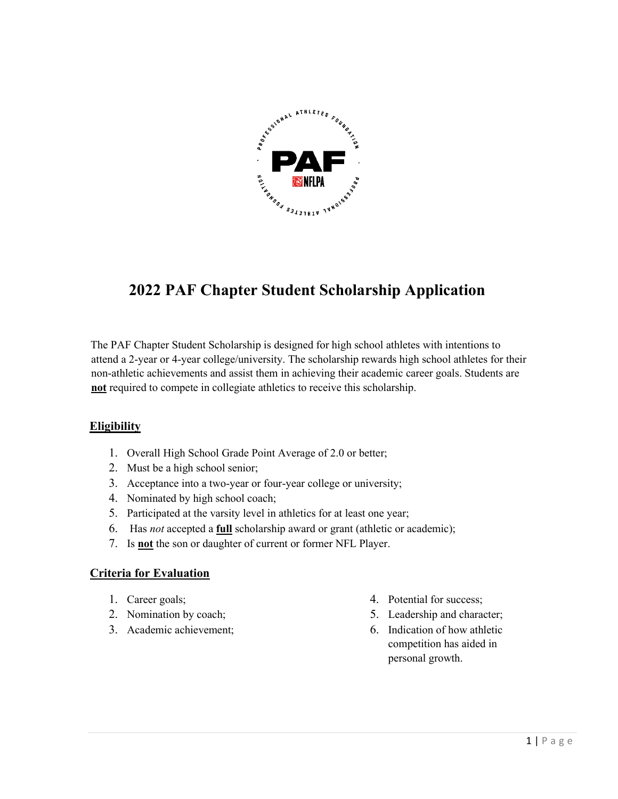

# **2022 PAF Chapter Student Scholarship Application**

The PAF Chapter Student Scholarship is designed for high school athletes with intentions to attend a 2-year or 4-year college/university. The scholarship rewards high school athletes for their non-athletic achievements and assist them in achieving their academic career goals. Students are **not** required to compete in collegiate athletics to receive this scholarship.

#### **Eligibility**

- 1. Overall High School Grade Point Average of 2.0 or better;
- 2. Must be a high school senior;
- 3. Acceptance into a two-year or four-year college or university;
- 4. Nominated by high school coach;
- 5. Participated at the varsity level in athletics for at least one year;
- 6. Has *not* accepted a **full** scholarship award or grant (athletic or academic);
- 7. Is **not** the son or daughter of current or former NFL Player.

#### **Criteria for Evaluation**

- 1. Career goals;
- 2. Nomination by coach;
- 3. Academic achievement;
- 4. Potential for success;
- 5. Leadership and character;
- 6. Indication of how athletic competition has aided in personal growth.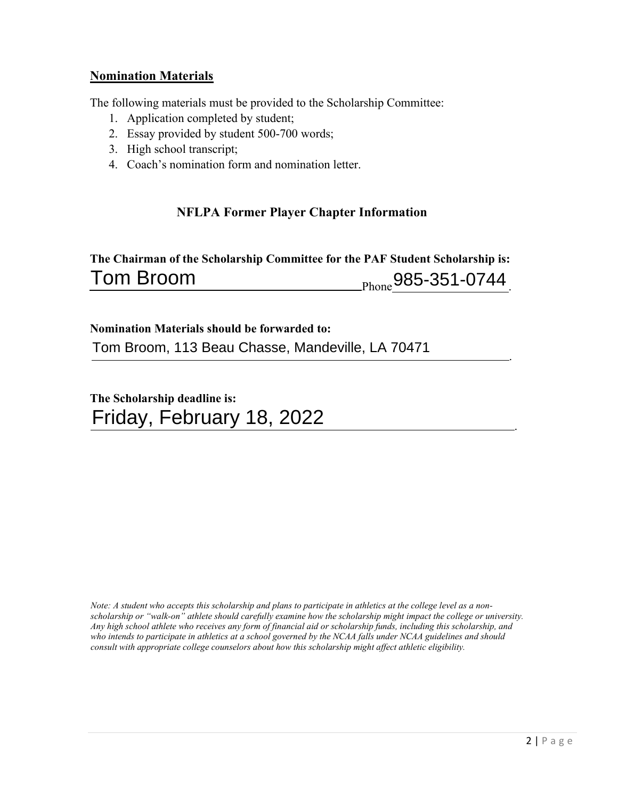## **Nomination Materials**

The following materials must be provided to the Scholarship Committee:

- 1. Application completed by student;
- 2. Essay provided by student 500-700 words;
- 3. High school transcript;
- 4. Coach's nomination form and nomination letter.

## **NFLPA Former Player Chapter Information**

**The Chairman of the Scholarship Committee for the PAF Student Scholarship is:**  Tom Broom 20085-351-0744

**Nomination Materials should be forwarded to:**  Tom Broom, 113 Beau Chasse, Mandeville, LA 70471

**The Scholarship deadline is:**  Friday, February 18, 2022

*Note: A student who accepts this scholarship and plans to participate in athletics at the college level as a nonscholarship or "walk-on" athlete should carefully examine how the scholarship might impact the college or university. Any high school athlete who receives any form of financial aid or scholarship funds, including this scholarship, and*  who intends to participate in athletics at a school governed by the NCAA falls under NCAA guidelines and should *consult with appropriate college counselors about how this scholarship might affect athletic eligibility.* 

.

.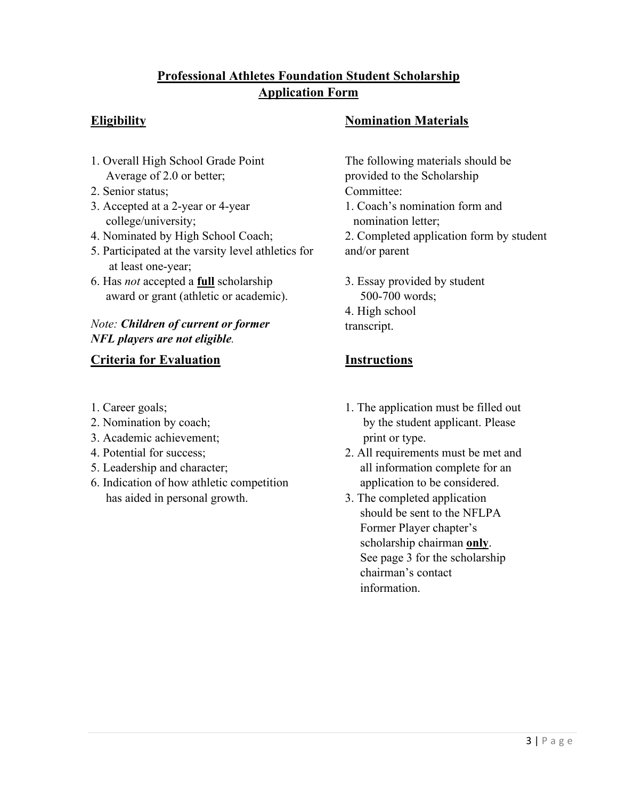## **Professional Athletes Foundation Student Scholarship Application Form**

- 1. Overall High School Grade Point The following materials should be Average of 2.0 or better; provided to the Scholarship
- 2. Senior status; Committee:
- college/university; nomination letter;
- 
- 5. Participated at the varsity level athletics for and/or parent at least one-year;
- 6. Has *not* accepted a **full** scholarship 3. Essay provided by student award or grant (athletic or academic).

## *Note: Children of current or former NFL players are not eligible.*

## **Criteria for Evaluation Instructions**

- 
- 
- 3. Academic achievement; example a print or type.
- 
- 
- 6. Indication of how athletic competition application to be considered. has aided in personal growth.  $\qquad \qquad$  3. The completed application

## **Eligibility Nomination Materials**

- 
- 3. Accepted at a 2-year or 4-year 1. Coach's nomination form and
- 4. Nominated by High School Coach; 2. Completed application form by student
	- 500-700 words; 4. High school
	- transcript.

- 1. Career goals; 1. The application must be filled out 2. Nomination by coach; by the student applicant. Please
- 4. Potential for success; 2. All requirements must be met and 5. Leadership and character; all information complete for an
	- should be sent to the NFLPA Former Player chapter's scholarship chairman **only**. See page 3 for the scholarship chairman's contact information.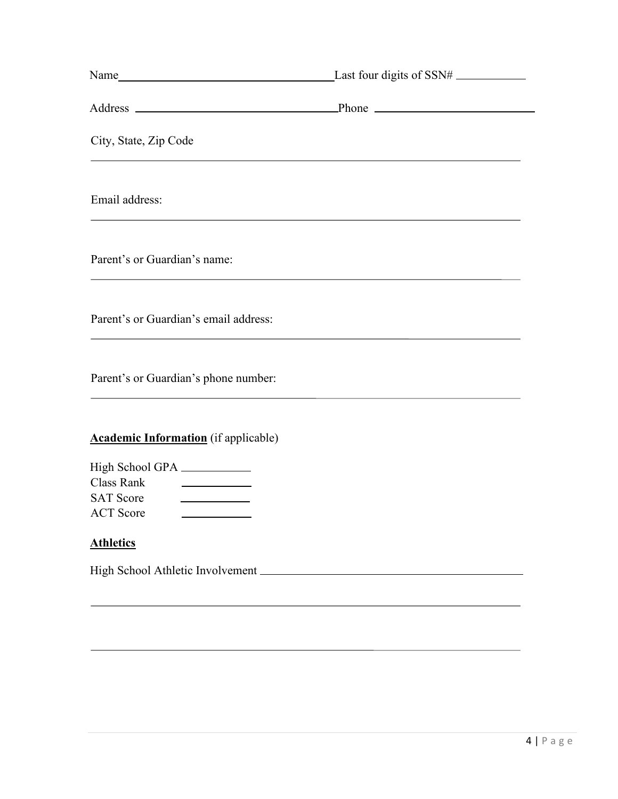| Name Last four digits of SSN#  Last four digits of SSN#  Last four digits of SSN#  Last four digits of SSN#  Last four digits of SSN#  Last four digits of SSN#  Last four digits of SSN#  Last four digits of SSN#  Last four |  |
|--------------------------------------------------------------------------------------------------------------------------------------------------------------------------------------------------------------------------------|--|
|                                                                                                                                                                                                                                |  |
| City, State, Zip Code                                                                                                                                                                                                          |  |
| Email address:                                                                                                                                                                                                                 |  |
| Parent's or Guardian's name:                                                                                                                                                                                                   |  |
| Parent's or Guardian's email address:                                                                                                                                                                                          |  |
| Parent's or Guardian's phone number:                                                                                                                                                                                           |  |
| <b>Academic Information</b> (if applicable)                                                                                                                                                                                    |  |
| High School GPA                                                                                                                                                                                                                |  |
| Class Rank<br><u> The Communication of the Communication</u>                                                                                                                                                                   |  |
| <b>SAT Score</b>                                                                                                                                                                                                               |  |
| <b>ACT</b> Score                                                                                                                                                                                                               |  |
| <b>Athletics</b>                                                                                                                                                                                                               |  |

High School Athletic Involvement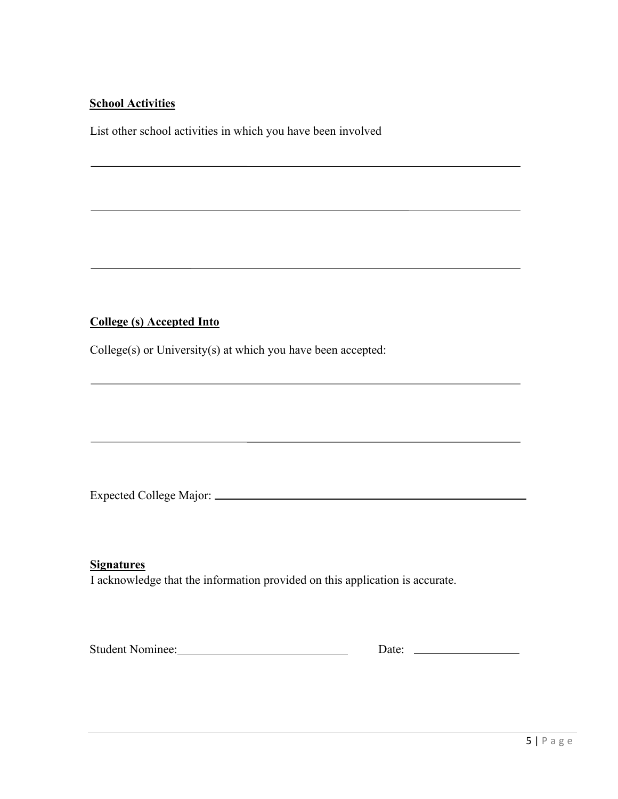### **School Activities**

List other school activities in which you have been involved

## **College (s) Accepted Into**

College(s) or University(s) at which you have been accepted:

Expected College Major:

#### **Signatures**

I acknowledge that the information provided on this application is accurate.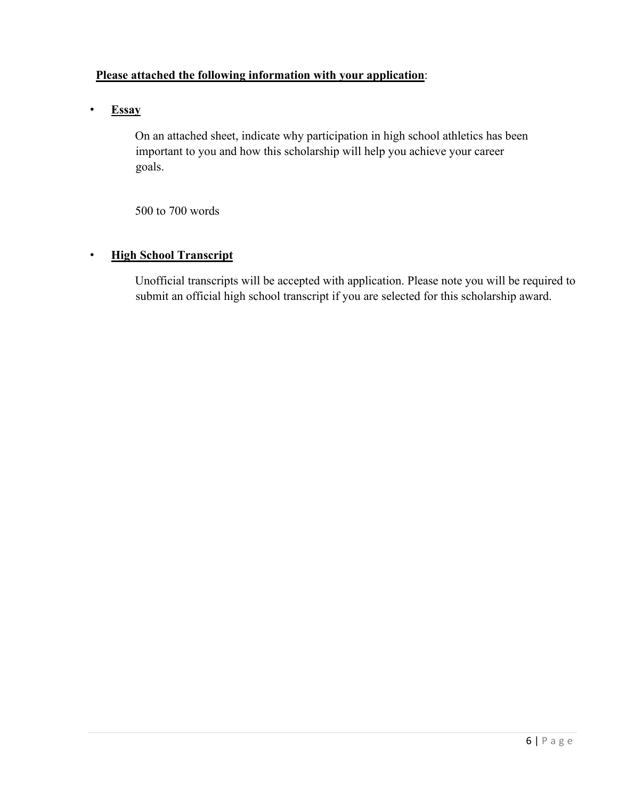### **Please attached the following information with your application**:

• **Essay**

On an attached sheet, indicate why participation in high school athletics has been important to you and how this scholarship will help you achieve your career goals.

500 to 700 words

#### • **High School Transcript**

Unofficial transcripts will be accepted with application. Please note you will be required to submit an official high school transcript if you are selected for this scholarship award.